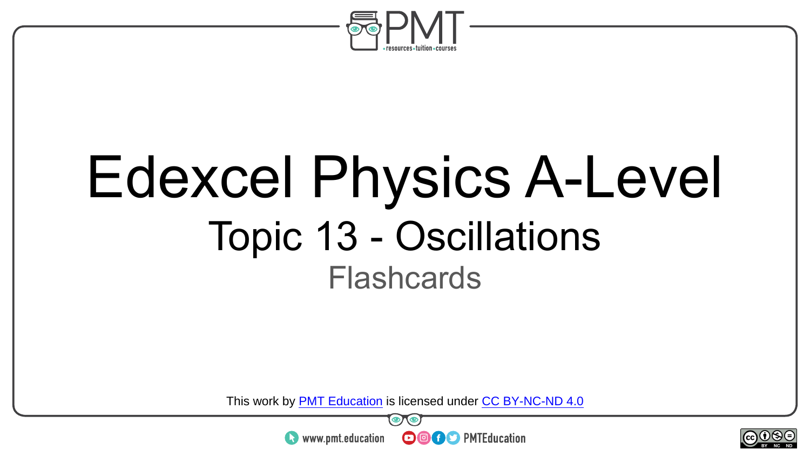

### Edexcel Physics A-Level Topic 13 - Oscillations **Flashcards**

This work by <u>PMT Education</u> is licensed under CC BY-NC-ND 4.0<br>
www.pmt.education **in the CO CO** PMTEducation



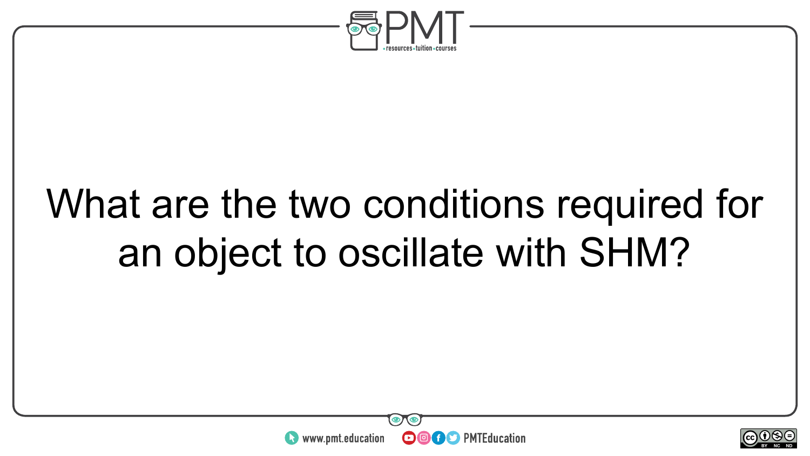

### What are the two conditions required for an object to oscillate with SHM?



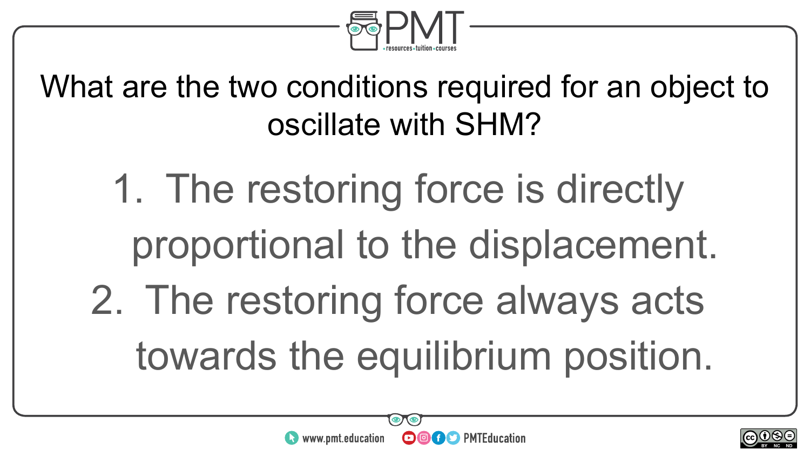

What are the two conditions required for an object to oscillate with SHM?

- 1. The restoring force is directly proportional to the displacement.
- 2. The restoring force always acts towards the equilibrium position.

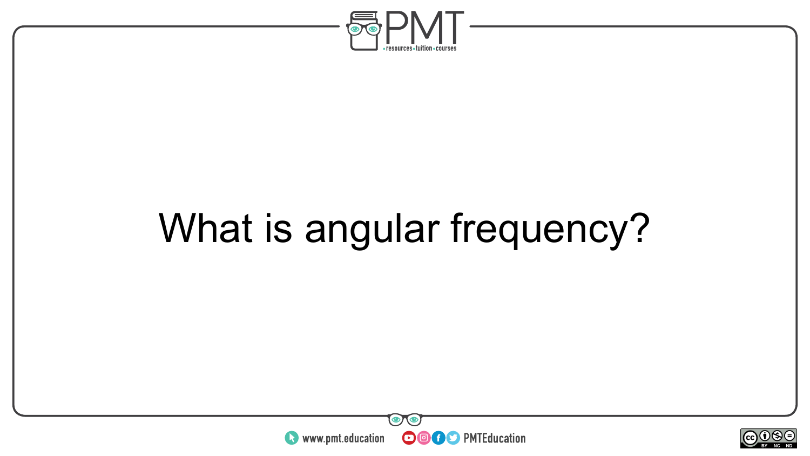

### What is angular frequency?



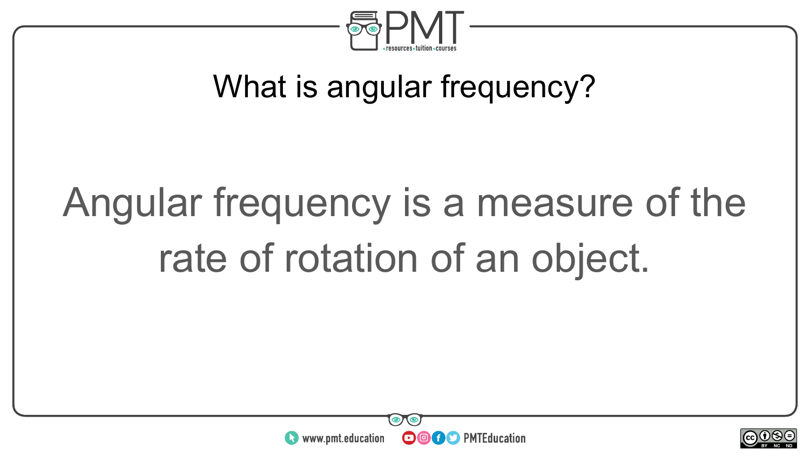

#### What is angular frequency?

## Angular frequency is a measure of the rate of rotation of an object.



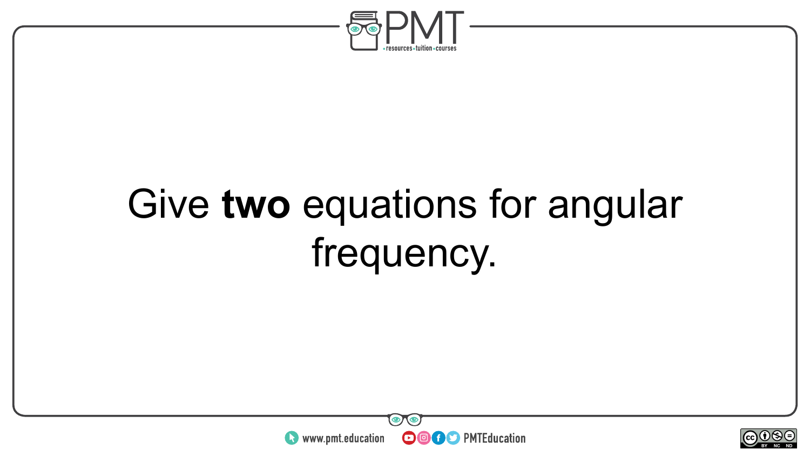

### Give **two** equations for angular frequency.



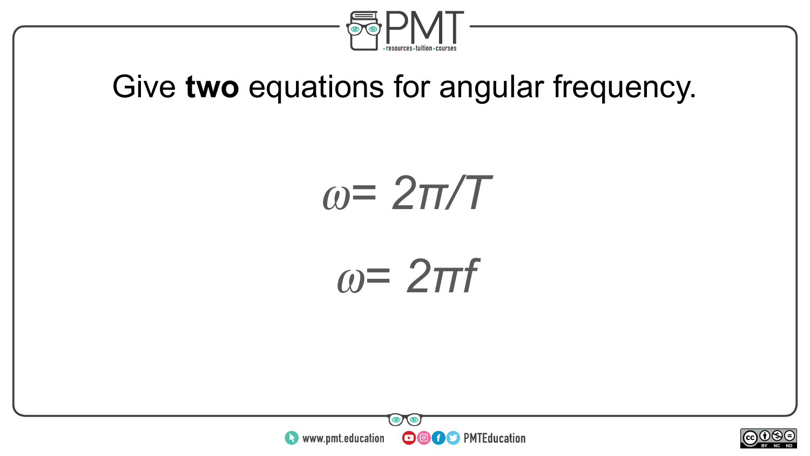

#### Give **two** equations for angular frequency.

⍵*= 2π/T*

⍵*= 2πf*



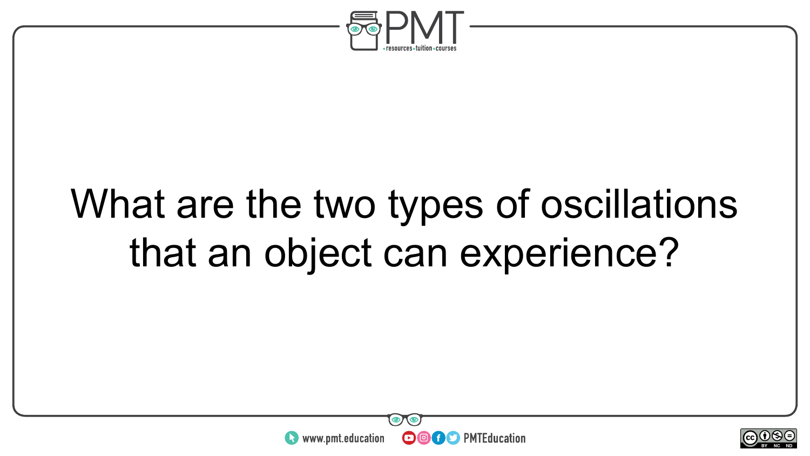

### What are the two types of oscillations that an object can experience?



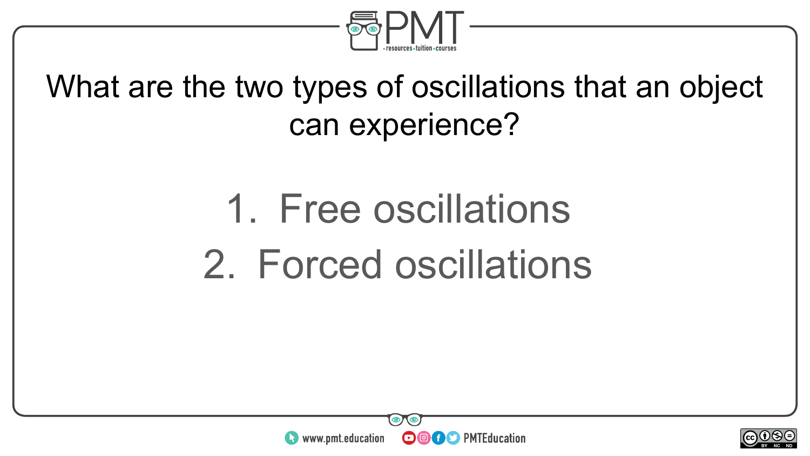

#### What are the two types of oscillations that an object can experience?

### 1. Free oscillations 2. Forced oscillations



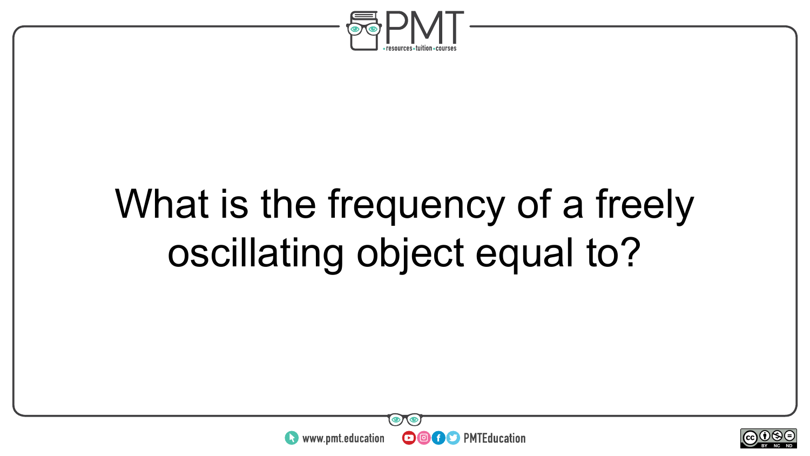

### What is the frequency of a freely oscillating object equal to?



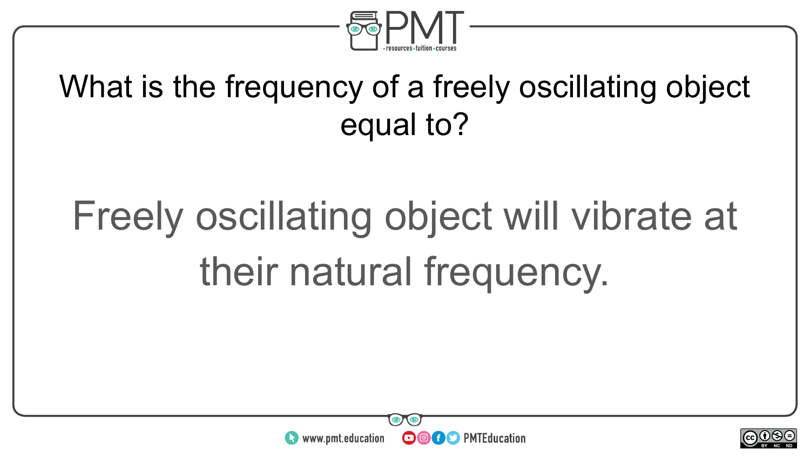

#### What is the frequency of a freely oscillating object equal to?

## Freely oscillating object will vibrate at their natural frequency.



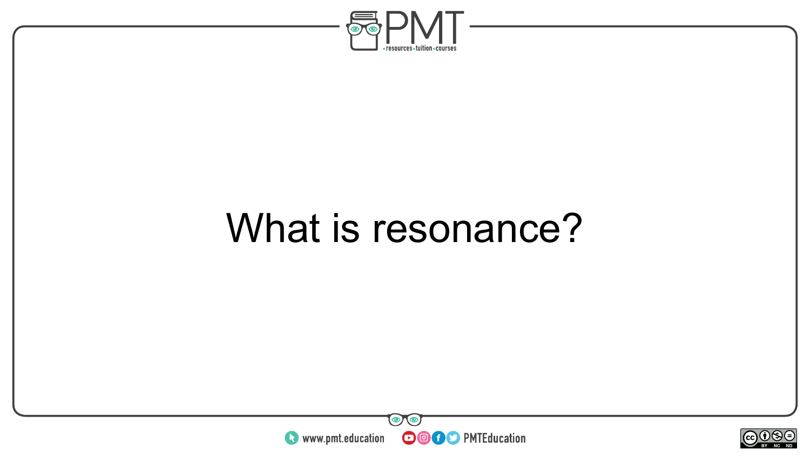

### What is resonance?



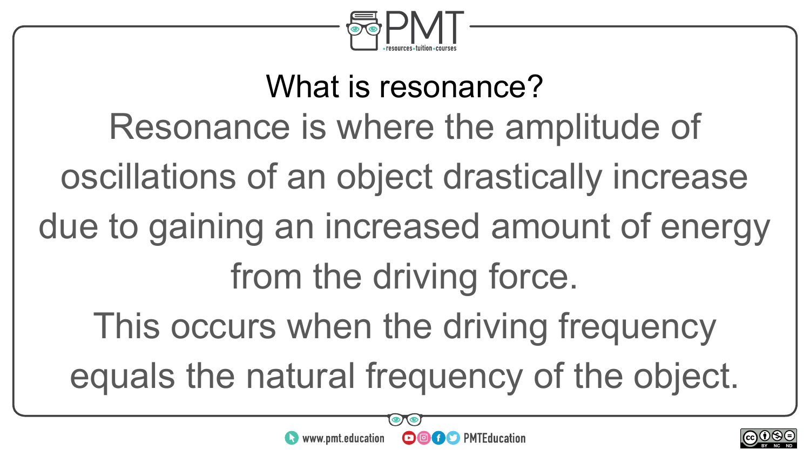

What is resonance? Resonance is where the amplitude of oscillations of an object drastically increase due to gaining an increased amount of energy from the driving force. This occurs when the driving frequency equals the natural frequency of the object.

**OOOO** PMTEducation

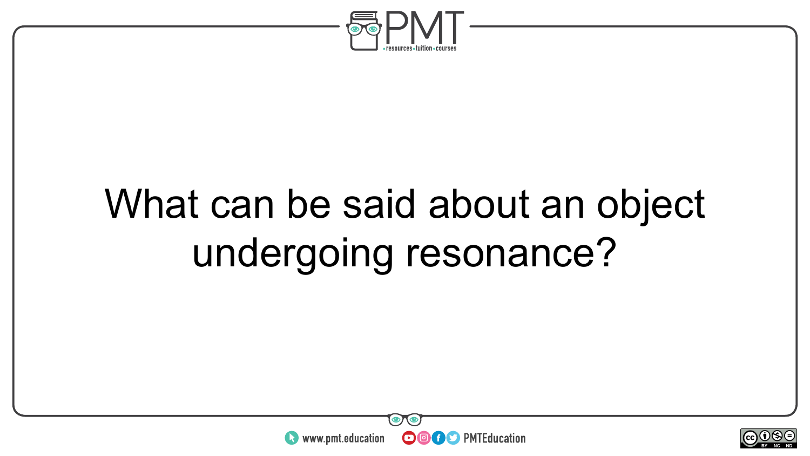

### What can be said about an object undergoing resonance?



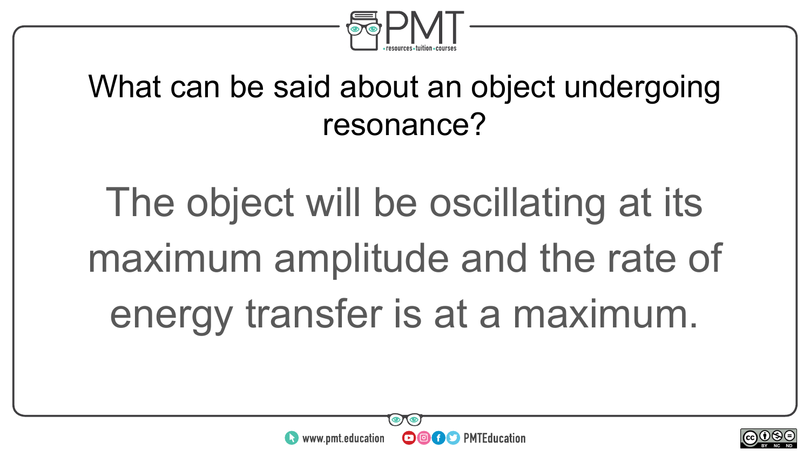

#### What can be said about an object undergoing resonance?

# The object will be oscillating at its maximum amplitude and the rate of energy transfer is at a maximum.



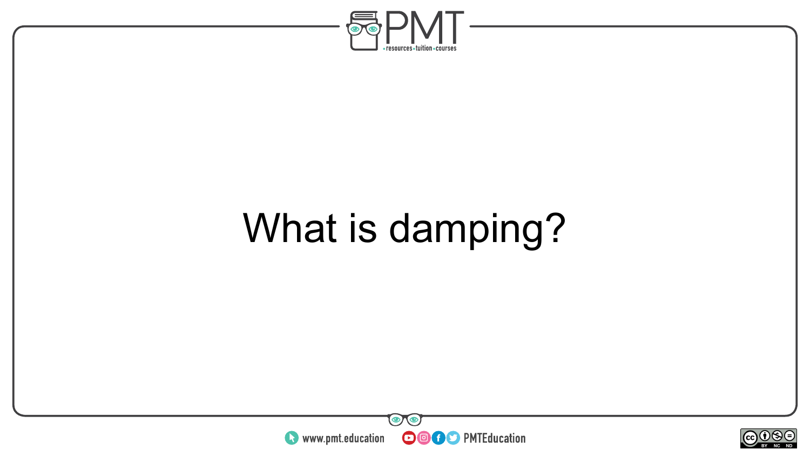

### What is damping?



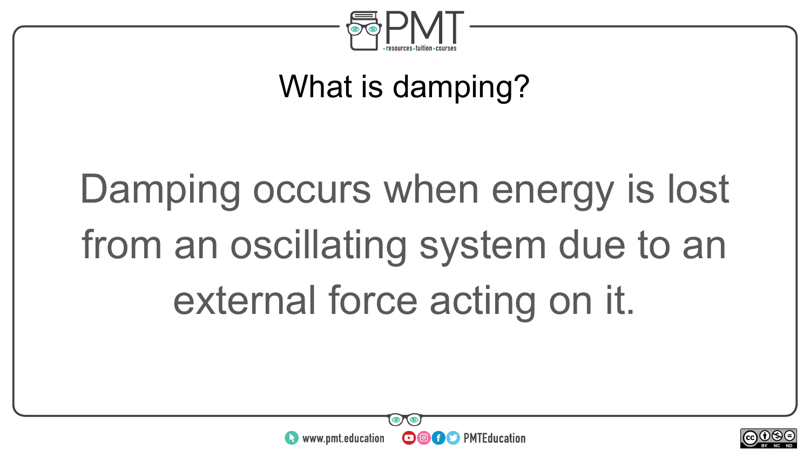

#### What is damping?

## Damping occurs when energy is lost from an oscillating system due to an external force acting on it.



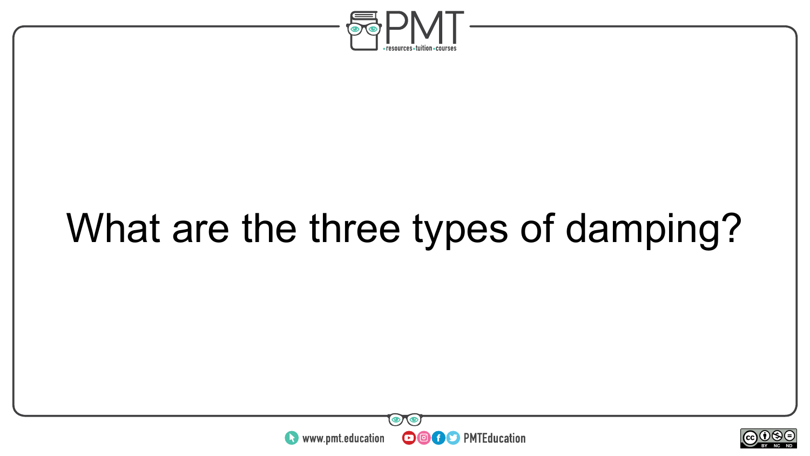

### What are the three types of damping?



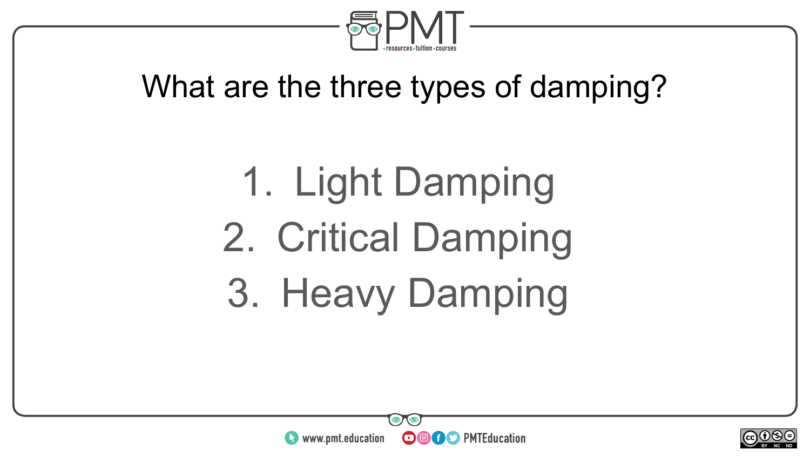

#### What are the three types of damping?

1. Light Damping 2. Critical Damping 3. Heavy Damping



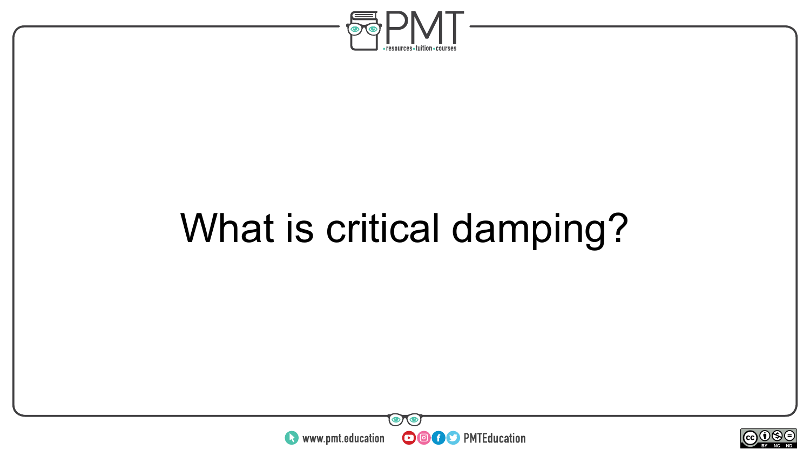

### What is critical damping?



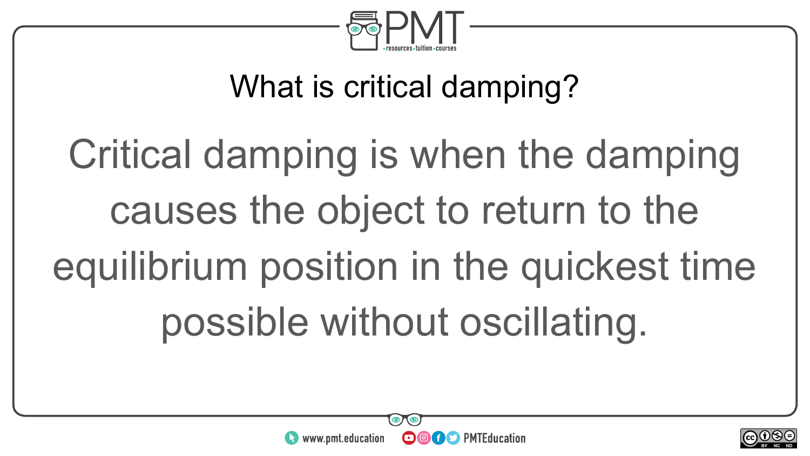

#### What is critical damping?

# Critical damping is when the damping causes the object to return to the equilibrium position in the quickest time possible without oscillating.



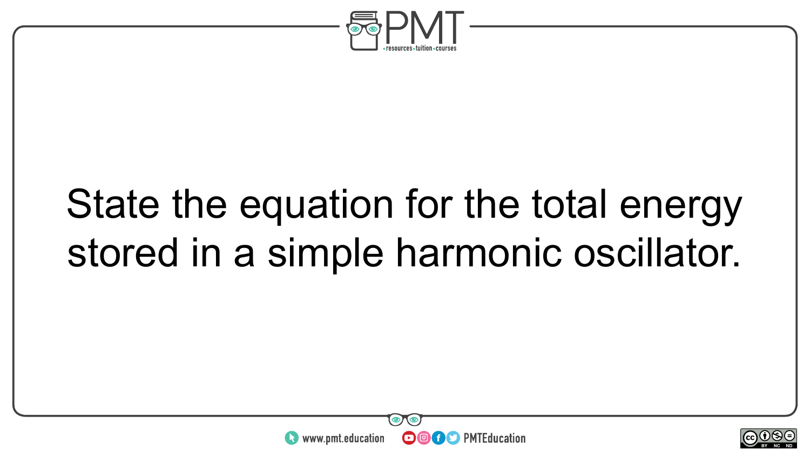

### State the equation for the total energy stored in a simple harmonic oscillator.



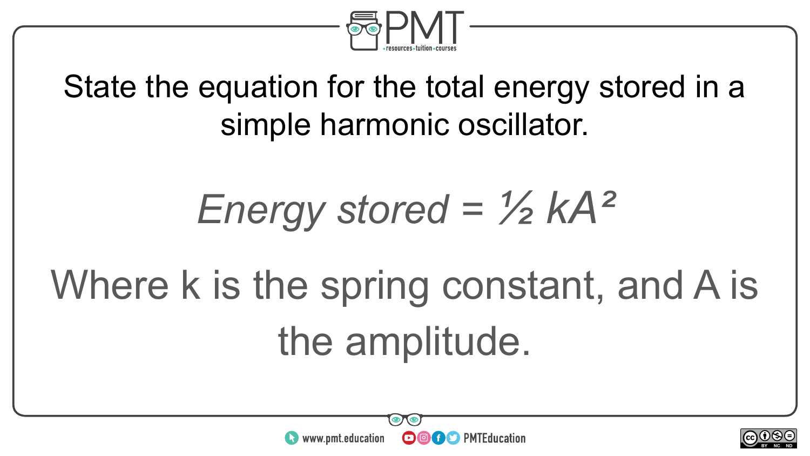

#### State the equation for the total energy stored in a simple harmonic oscillator.

### *Energy stored = ½ kA²*

## Where k is the spring constant, and A is the amplitude.



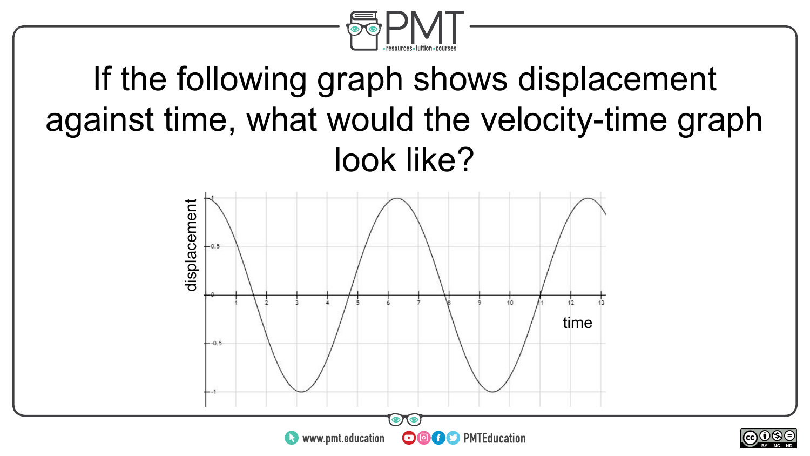

#### If the following graph shows displacement against time, what would the velocity-time graph look like?



 $\sim$ neel BY NC ND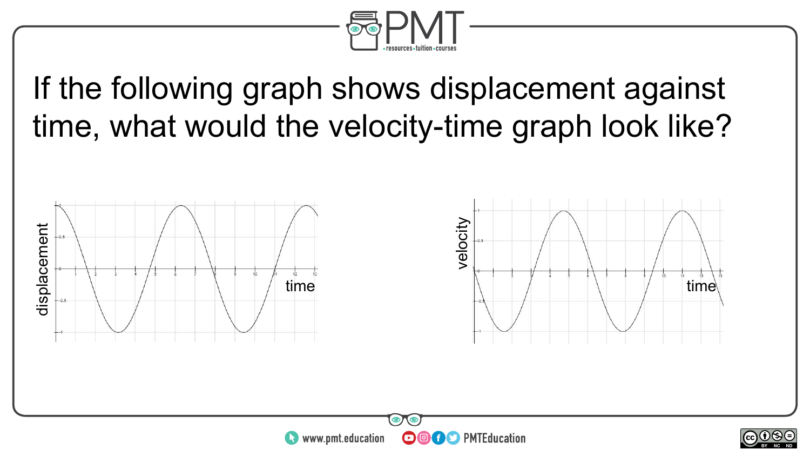

If the following graph shows displacement against time, what would the velocity-time graph look like?

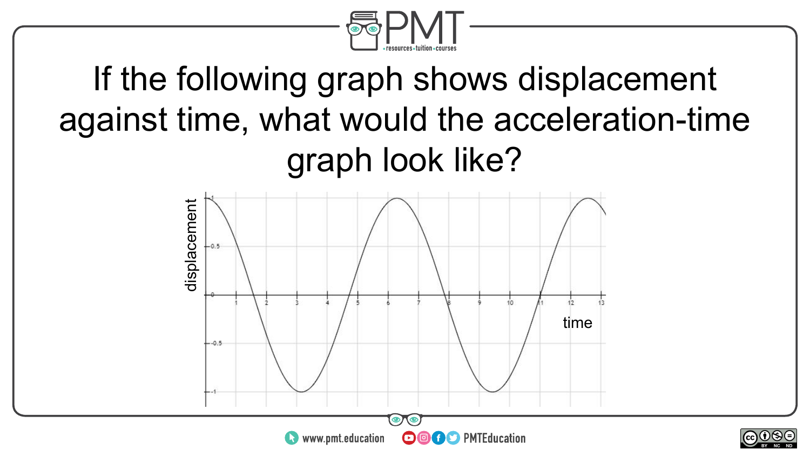

### If the following graph shows displacement against time, what would the acceleration-time graph look like?



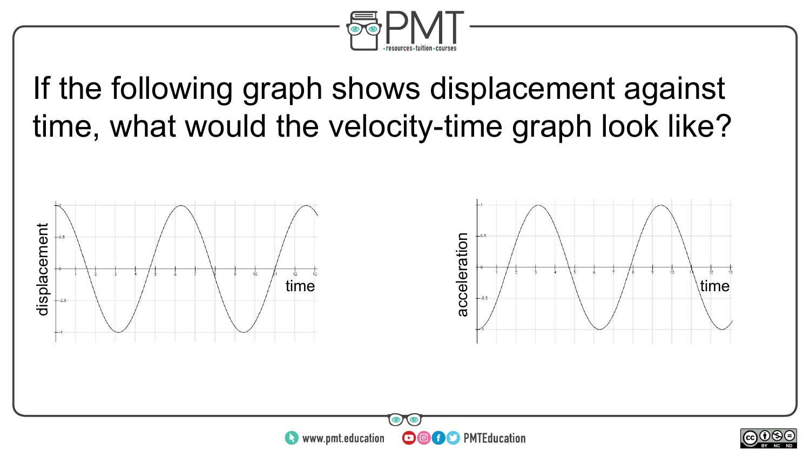

If the following graph shows displacement against time, what would the velocity-time graph look like?

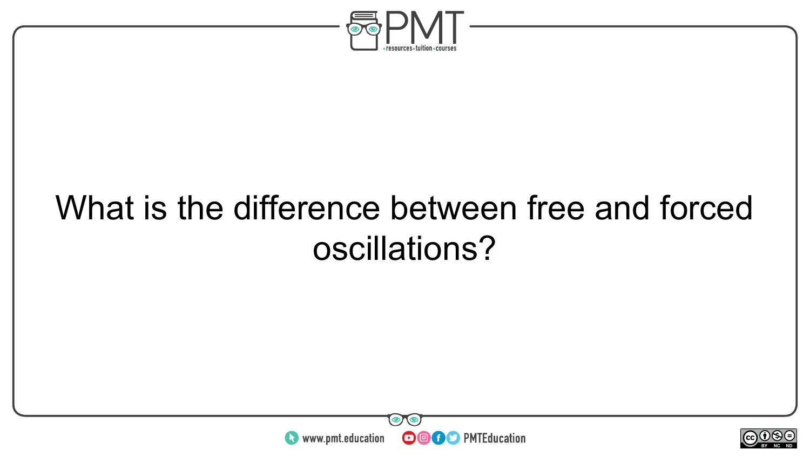

### What is the difference between free and forced oscillations?



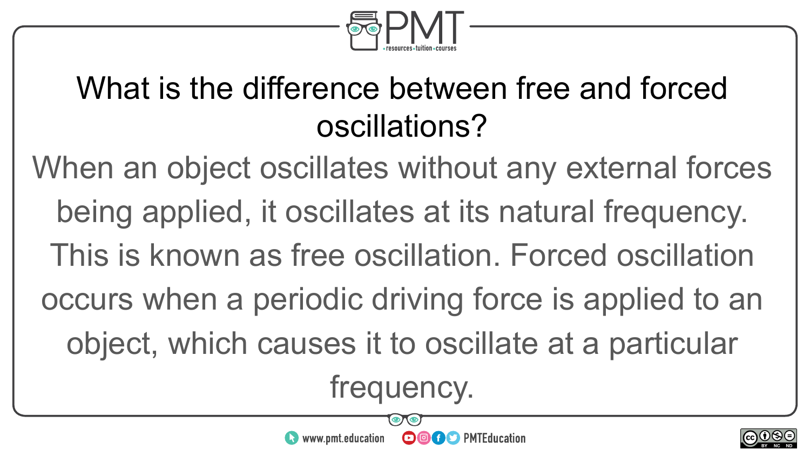

#### What is the difference between free and forced oscillations?

When an object oscillates without any external forces being applied, it oscillates at its natural frequency. This is known as free oscillation. Forced oscillation occurs when a periodic driving force is applied to an object, which causes it to oscillate at a particular frequency.

**OOOO** PMTEducation

www.pmt.education

 $\sim$ neel BY NC ND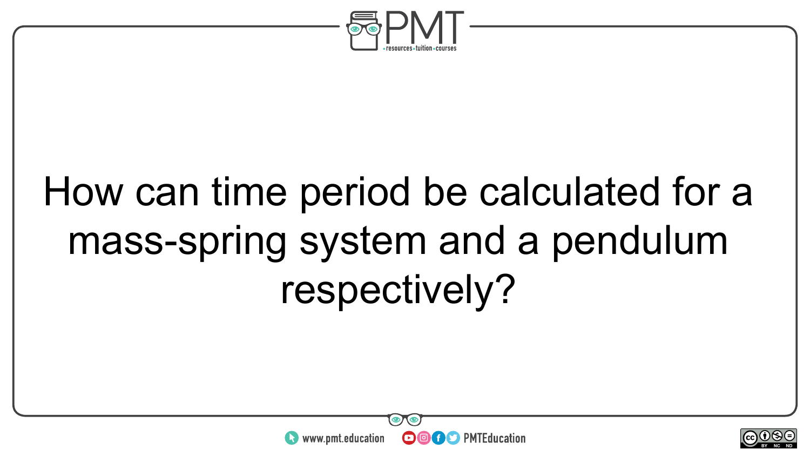

### How can time period be calculated for a mass-spring system and a pendulum respectively?